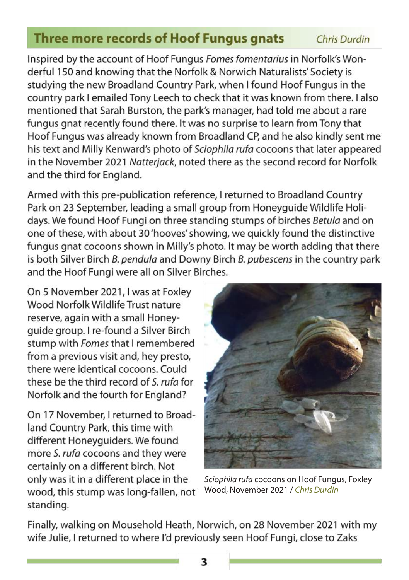## **Three more records of Hoof Fungus gnats** Chris Durdin

Inspired by the account of Hoof Fungus Fomes fomentarius in Norfolk's Wonderful 150 and knowing that the Norfolk & Norwich Naturalists' Society is studving the new Broadland Country Park, when I found Hoof Fungus in the country park I emailed Tony Leech to check that it was known from there. I also mentioned that Sarah Burston, the park's manager, had told me about a rare fungus anat recently found there. It was no surprise to learn from Tony that Hoof Fungus was already known from Broadland CP, and he also kindly sent me his text and Milly Kenward's photo of Sciophila rufa cocoons that later appeared in the November 2021 Natterjack, noted there as the second record for Norfolk and the third for England.

Armed with this pre-publication reference, I returned to Broadland Country Park on 23 September, leading a small group from Honeyquide Wildlife Holidays. We found Hoof Fungi on three standing stumps of birches Betula and on one of these, with about 30 'hooves' showing, we quickly found the distinctive fungus gnat cocoons shown in Milly's photo. It may be worth adding that there is both Silver Birch B, pendula and Downy Birch B, pubescens in the country park and the Hoof Fungi were all on Silver Birches.

On 5 November 2021, I was at Foxley Wood Norfolk Wildlife Trust nature reserve, again with a small Honeyquide group. I re-found a Silver Birch stump with Fomes that I remembered from a previous visit and, hey presto, there were identical cocoons. Could these be the third record of S. rufa for Norfolk and the fourth for England?

On 17 November, I returned to Broadland Country Park, this time with different Honeyguiders. We found more S. rufa cocoons and they were certainly on a different birch. Not only was it in a different place in the wood, this stump was long-fallen, not standing.



Sciophila rufa cocoons on Hoof Fungus, Foxley Wood, November 2021 / Chris Durdin

Finally, walking on Mousehold Heath, Norwich, on 28 November 2021 with my wife Julie, I returned to where I'd previously seen Hoof Fungi, close to Zaks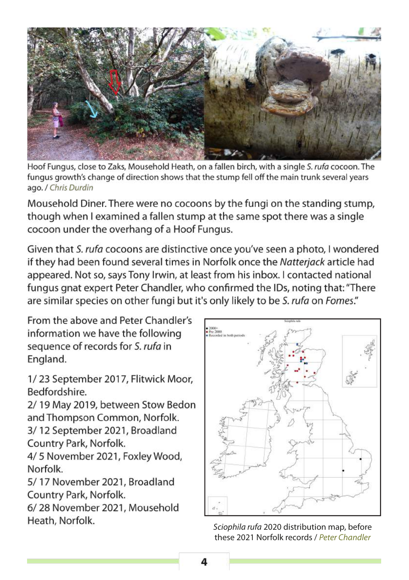

Hoof Fungus, close to Zaks, Mousehold Heath, on a fallen birch, with a single S. rufa cocoon. The fungus growth's change of direction shows that the stump fell off the main trunk several years ago. / Chris Durdin

Mousehold Diner. There were no cocoons by the fungi on the standing stump, though when I examined a fallen stump at the same spot there was a single cocoon under the overhang of a Hoof Fungus.

Given that S. rufa cocoons are distinctive once you've seen a photo, I wondered if they had been found several times in Norfolk once the Natteriack article had appeared. Not so, says Tony Irwin, at least from his inbox. I contacted national fungus gnat expert Peter Chandler, who confirmed the IDs, noting that: "There are similar species on other fungi but it's only likely to be S. rufa on Fomes."

From the above and Peter Chandler's information we have the following sequence of records for S. rufa in England.

1/23 September 2017, Flitwick Moor, Bedfordshire.

2/19 May 2019, between Stow Bedon and Thompson Common, Norfolk.

3/12 September 2021, Broadland Country Park, Norfolk.

4/5 November 2021, Foxley Wood, Norfolk.

5/17 November 2021, Broadland Country Park, Norfolk.

6/28 November 2021, Mousehold Heath, Norfolk.



Sciophila rufa 2020 distribution map, before these 2021 Norfolk records / Peter Chandler